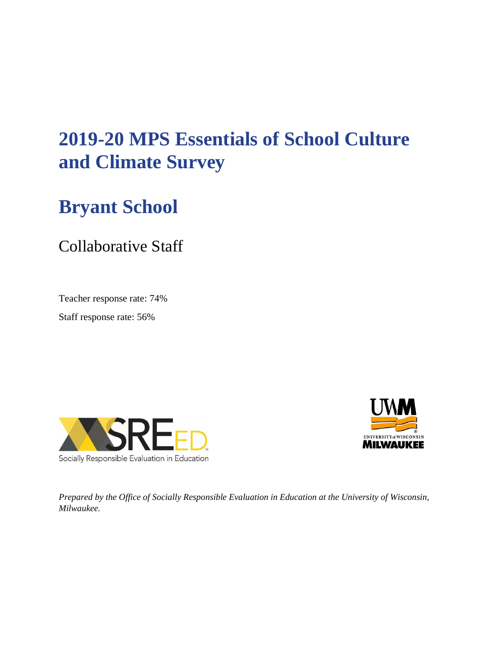# **2019-20 MPS Essentials of School Culture and Climate Survey**

# **Bryant School**

# Collaborative Staff

Teacher response rate: 74%

Staff response rate: 56%





*Prepared by the Office of Socially Responsible Evaluation in Education at the University of Wisconsin, Milwaukee.*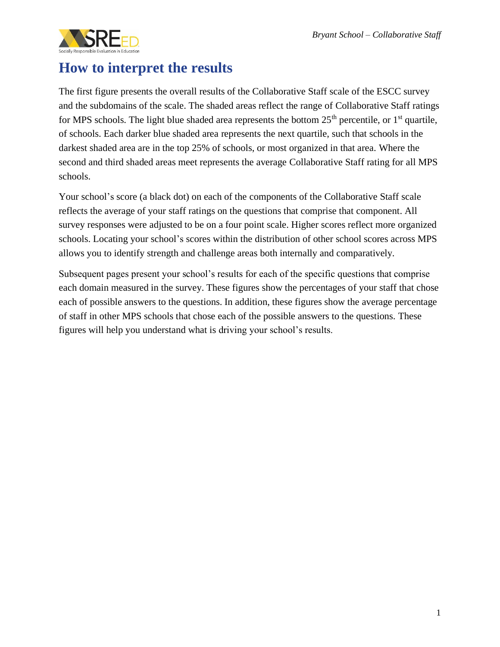

### **How to interpret the results**

The first figure presents the overall results of the Collaborative Staff scale of the ESCC survey and the subdomains of the scale. The shaded areas reflect the range of Collaborative Staff ratings for MPS schools. The light blue shaded area represents the bottom  $25<sup>th</sup>$  percentile, or  $1<sup>st</sup>$  quartile, of schools. Each darker blue shaded area represents the next quartile, such that schools in the darkest shaded area are in the top 25% of schools, or most organized in that area. Where the second and third shaded areas meet represents the average Collaborative Staff rating for all MPS schools.

Your school's score (a black dot) on each of the components of the Collaborative Staff scale reflects the average of your staff ratings on the questions that comprise that component. All survey responses were adjusted to be on a four point scale. Higher scores reflect more organized schools. Locating your school's scores within the distribution of other school scores across MPS allows you to identify strength and challenge areas both internally and comparatively.

Subsequent pages present your school's results for each of the specific questions that comprise each domain measured in the survey. These figures show the percentages of your staff that chose each of possible answers to the questions. In addition, these figures show the average percentage of staff in other MPS schools that chose each of the possible answers to the questions. These figures will help you understand what is driving your school's results.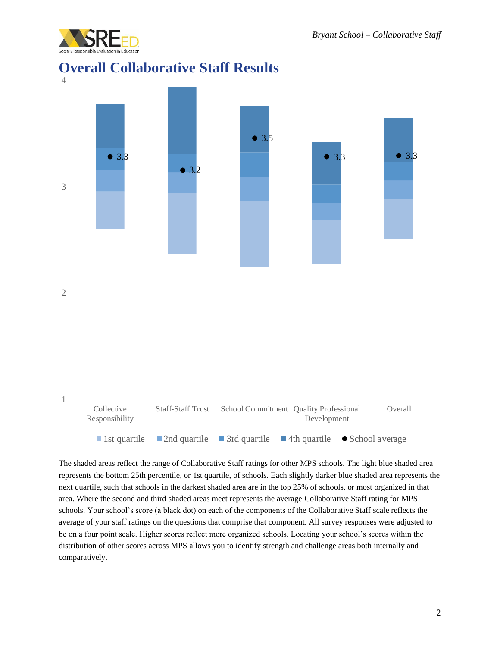

### **Overall Collaborative Staff Results**



| Collective<br>Responsibility | Staff-Staff Trust School Commitment Quality Professional | Development | Overall                                                                                |  |
|------------------------------|----------------------------------------------------------|-------------|----------------------------------------------------------------------------------------|--|
|                              |                                                          |             | <b>Is 1st quartile</b> 2nd quartile 3rd quartile 4th quartile $\bullet$ School average |  |

The shaded areas reflect the range of Collaborative Staff ratings for other MPS schools. The light blue shaded area represents the bottom 25th percentile, or 1st quartile, of schools. Each slightly darker blue shaded area represents the next quartile, such that schools in the darkest shaded area are in the top 25% of schools, or most organized in that area. Where the second and third shaded areas meet represents the average Collaborative Staff rating for MPS schools. Your school's score (a black dot) on each of the components of the Collaborative Staff scale reflects the average of your staff ratings on the questions that comprise that component. All survey responses were adjusted to be on a four point scale. Higher scores reflect more organized schools. Locating your school's scores within the distribution of other scores across MPS allows you to identify strength and challenge areas both internally and comparatively.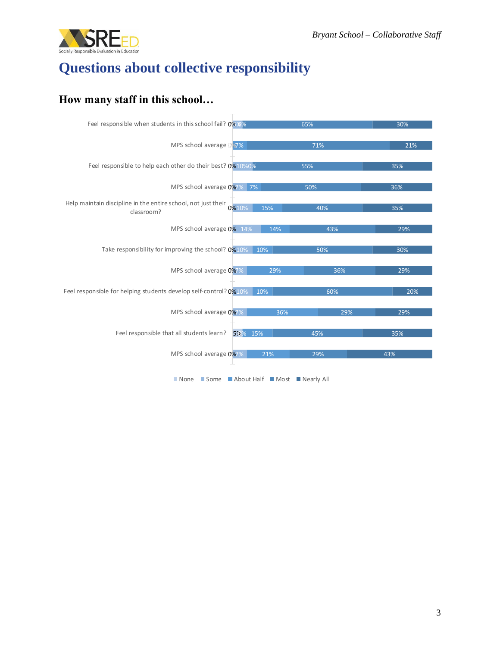

### **Questions about collective responsibility**

#### **How many staff in this school…**

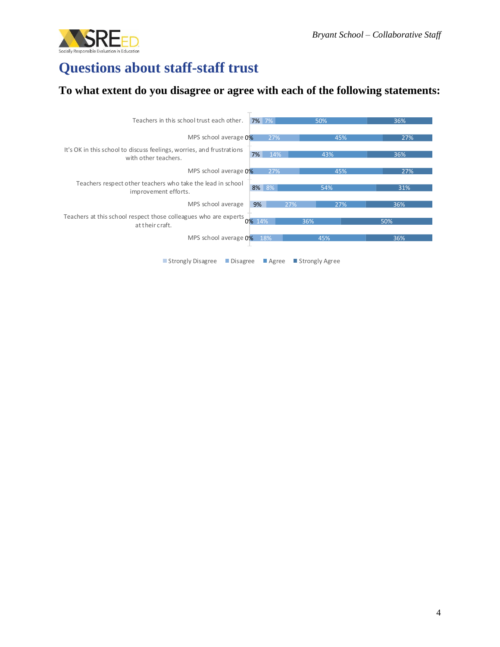

## **Questions about staff-staff trust**

#### **To what extent do you disagree or agree with each of the following statements:**



4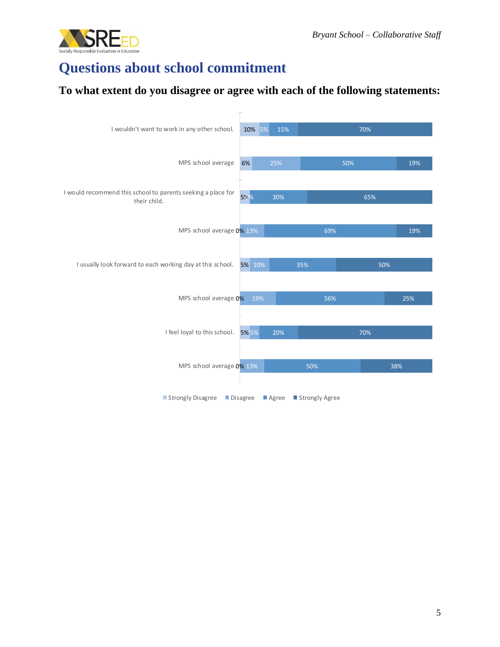

## **Questions about school commitment**

#### **To what extent do you disagree or agree with each of the following statements:**